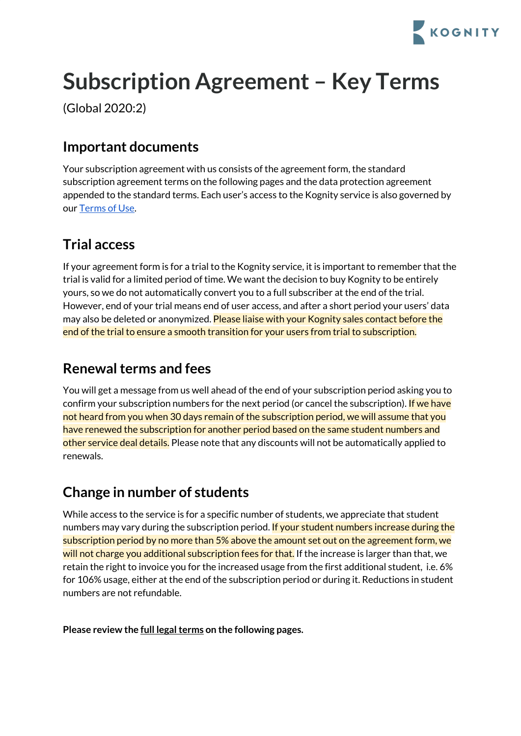

# **Subscription Agreement – Key Terms**

(Global 2020:2)

# **Important documents**

Your subscription agreement with us consists of the agreement form, the standard subscription agreement terms on the following pages and the data protection agreement appended to the standard terms. Each user's access to the Kognity service is also governed by our [Terms](https://app.kognity.com/terms/) of Use.

# **Trial access**

If your agreement form is for a trial to the Kognity service, it is important to remember that the trial is valid for a limited period of time. We want the decision to buy Kognity to be entirely yours, so we do not automatically convert you to a full subscriber at the end of the trial. However, end of your trial means end of user access, and after a short period your users' data may also be deleted or anonymized. Please liaise with your Kognity sales contact before the end of the trial to ensure a smooth transition for your users from trial to subscription.

# **Renewal terms and fees**

You will get a message from us well ahead of the end of your subscription period asking you to confirm your subscription numbers for the next period (or cancel the subscription). If we have not heard from you when 30 days remain of the subscription period, we will assume that you have renewed the subscription for another period based on the same student numbers and other service deal details. Please note that any discounts will not be automatically applied to renewals.

# **Change in number of students**

While access to the service is for a specific number of students, we appreciate that student numbers may vary during the subscription period. If your student numbers increase during the subscription period by no more than 5% above the amount set out on the agreement form, we will not charge you additional subscription fees for that. If the increase is larger than that, we retain the right to invoice you for the increased usage from the first additional student, i.e. 6% for 106% usage, either at the end of the subscription period or during it. Reductions in student numbers are not refundable.

**Please review the full legalterms on the following pages.**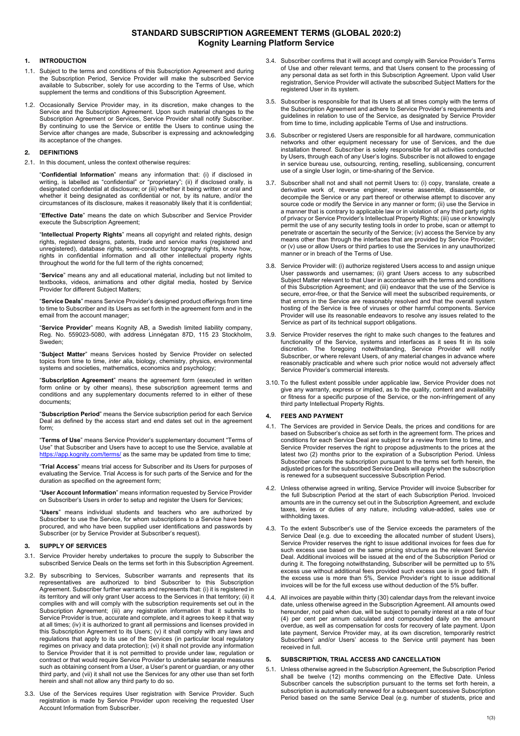# **STANDARD SUBSCRIPTION AGREEMENT TERMS (GLOBAL 2020:2) Kognity Learning Platform Service**

# **1. INTRODUCTION**

- 1.1. Subject to the terms and conditions of this Subscription Agreement and during the Subscription Period, Service Provider will make the subscribed Service available to Subscriber, solely for use according to the Terms of Use, which supplement the terms and conditions of this Subscription Agreement.
- 1.2. Occasionally Service Provider may, in its discretion, make changes to the Service and the Subscription Agreement. Upon such material changes to the Subscription Agreement or Services, Service Provider shall notify Subscriber. By continuing to use the Service or entitle the Users to continue using the Service after changes are made, Subscriber is expressing and acknowledging its acceptance of the changes.

#### **2. DEFINITIONS**

2.1. In this document, unless the context otherwise requires:

"**Confidential Information**" means any information that: (i) if disclosed in writing, is labelled as "confidential" or "proprietary"; (ii) if disclosed orally, is designated confidential at disclosure; or (iii) whether it being written or oral and whether it being designated as confidential or not, by its nature, and/or the circumstances of its disclosure, makes it reasonably likely that it is confidential;

"**Effective Date**" means the date on which Subscriber and Service Provider execute the Subscription Agreement;

"**Intellectual Property Rights**" means all copyright and related rights, design rights, registered designs, patents, trade and service marks (registered and unregistered), database rights, semi-conductor topography rights, know how, rights in confidential information and all other intellectual property rights throughout the world for the full term of the rights concerned;

"**Service**" means any and all educational material, including but not limited to textbooks, videos, animations and other digital media, hosted by Service Provider for different Subject Matters;

"**Service Deals**" means Service Provider's designed product offerings from time to time to Subscriber and its Users as set forth in the agreement form and in the email from the account manager;

"**Service Provider**" means Kognity AB, a Swedish limited liability company, Reg. No. 559023-5080, with address Linnégatan 87D, 115 23 Stockholm, Sweden;

"**Subject Matter**" means Services hosted by Service Provider on selected topics from time to time, *inter alia*, biology, chemistry, physics, environmental systems and societies, mathematics, economics and psychology;

"**Subscription Agreement**" means the agreement form (executed in written form online or by other means), these subscription agreement terms and conditions and any supplementary documents referred to in either of these documents;

"**Subscription Period**" means the Service subscription period for each Service Deal as defined by the access start and end dates set out in the agreement form;

"**Terms of Use**" means Service Provider's supplementary document "Terms of Use" that Subscriber and Users have to accept to use the Service, available at https://app.kognity.com/terms/ as the same may be updated from time to time;

"**Trial Access**" means trial access for Subscriber and its Users for purposes of evaluating the Service. Trial Access is for such parts of the Service and for the duration as specified on the agreement form;

"**User Account Information**" means information requested by Service Provider on Subscriber's Users in order to setup and register the Users for Services;

"**Users**" means individual students and teachers who are authorized by Subscriber to use the Service, for whom subscriptions to a Service have been procured, and who have been supplied user identifications and passwords by Subscriber (or by Service Provider at Subscriber's request).

# **3. SUPPLY OF SERVICES**

- 3.1. Service Provider hereby undertakes to procure the supply to Subscriber the subscribed Service Deals on the terms set forth in this Subscription Agreement.
- 3.2. By subscribing to Services, Subscriber warrants and represents that its representatives are authorized to bind Subscriber to this Subscription Agreement. Subscriber further warrants and represents that: (i) it is registered in its territory and will only grant User access to the Services in that territory; (ii) it complies with and will comply with the subscription requirements set out in the Subscription Agreement; (iii) any registration information that it submits to Service Provider is true, accurate and complete, and it agrees to keep it that way at all times; (iv) it is authorized to grant all permissions and licenses provided in this Subscription Agreement to its Users; (v) it shall comply with any laws and regulations that apply to its use of the Services (in particular local regulatory regimes on privacy and data protection); (vi) it shall not provide any information to Service Provider that it is not permitted to provide under law, regulation or contract or that would require Service Provider to undertake separate measures such as obtaining consent from a User, a User's parent or guardian, or any other third party, and (vii) it shall not use the Services for any other use than set forth herein and shall not allow any third party to do so.
- 3.3. Use of the Services requires User registration with Service Provider. Such registration is made by Service Provider upon receiving the requested User Account Information from Subscriber.
- 3.4. Subscriber confirms that it will accept and comply with Service Provider's Terms of Use and other relevant terms, and that Users consent to the processing of any personal data as set forth in this Subscription Agreement. Upon valid User registration, Service Provider will activate the subscribed Subject Matters for the registered User in its system.
- 3.5. Subscriber is responsible for that its Users at all times comply with the terms of the Subscription Agreement and adhere to Service Provider's requirements and guidelines in relation to use of the Service, as designated by Service Provider from time to time, including applicable Terms of Use and instructions.
- 3.6. Subscriber or registered Users are responsible for all hardware, communication networks and other equipment necessary for use of Services, and the due installation thereof. Subscriber is solely responsible for all activities conducted by Users, through each of any User's logins. Subscriber is not allowed to engage in service bureau use, outsourcing, renting, reselling, sublicensing, concurrent use of a single User login, or time-sharing of the Service.
- 3.7. Subscriber shall not and shall not permit Users to: (i) copy, translate, create a derivative work of, reverse engineer, reverse assemble, disassemble, or decompile the Service or any part thereof or otherwise attempt to discover any source code or modify the Service in any manner or form; (ii) use the Service in a manner that is contrary to applicable law or in violation of any third party rights of privacy or Service Provider's Intellectual Property Rights; (iii) use or knowingly permit the use of any security testing tools in order to probe, scan or attempt to penetrate or ascertain the security of the Service; (iv) access the Service by any means other than through the interfaces that are provided by Service Provider; or (v) use or allow Users or third parties to use the Services in any unauthorized manner or in breach of the Terms of Use.
- 3.8. Service Provider will: (i) authorize registered Users access to and assign unique User passwords and usernames; (ii) grant Users access to any subscribed Subject Matter relevant to that User in accordance with the terms and conditions of this Subscription Agreement; and (iii) endeavor that the use of the Service is secure, error-free, or that the Service will meet the subscribed requirements, or that errors in the Service are reasonably resolved and that the overall system hosting of the Service is free of viruses or other harmful components. Service Provider will use its reasonable endeavors to resolve any issues related to the Service as part of its technical support obligations.
- 3.9. Service Provider reserves the right to make such changes to the features and functionality of the Service, systems and interfaces as it sees fit in its sole discretion. The foregoing notwithstanding, Service Provider will notify Subscriber, or where relevant Users, of any material changes in advance where reasonably practicable and where such prior notice would not adversely affect Service Provider's commercial interests.
- 3.10. To the fullest extent possible under applicable law, Service Provider does not give any warranty, express or implied, as to the quality, content and availability or fitness for a specific purpose of the Service, or the non-infringement of any third party Intellectual Property Rights.

# **4. FEES AND PAYMENT**

- 4.1. The Services are provided in Service Deals, the prices and conditions for are based on Subscriber's choice as set forth in the agreement form. The prices and conditions for each Service Deal are subject for a review from time to time, and Service Provider reserves the right to propose adjustments to the prices at the latest two (2) months prior to the expiration of a Subscription Period. Unless Subscriber cancels the subscription pursuant to the terms set forth herein, the adjusted prices for the subscribed Service Deals will apply when the subscription is renewed for a subsequent successive Subscription Period.
- 4.2. Unless otherwise agreed in writing, Service Provider will invoice Subscriber for the full Subscription Period at the start of each Subscription Period. Invoiced amounts are in the currency set out in the Subscription Agreement, and exclude taxes, levies or duties of any nature, including value-added, sales use or withholding taxes.
- 4.3. To the extent Subscriber's use of the Service exceeds the parameters of the Service Deal (e.g. due to exceeding the allocated number of student Users), Service Provider reserves the right to issue additional invoices for fees due for such excess use based on the same pricing structure as the relevant Service Deal. Additional invoices will be issued at the end of the Subscription Period or during it. The foregoing notwithstanding, Subscriber will be permitted up to 5% excess use without additional fees provided such excess use is in good faith. If the excess use is more than 5%, Service Provider's right to issue additional invoices will be for the full excess use without deduction of the 5% buffer.
- 4.4. All invoices are payable within thirty (30) calendar days from the relevant invoice date, unless otherwise agreed in the Subscription Agreement. All amounts owed hereunder, not paid when due, will be subject to penalty interest at a rate of four (4) per cent per annum calculated and compounded daily on the amount overdue, as well as compensation for costs for recovery of late payment. Upon late payment, Service Provider may, at its own discretion, temporarily restrict Subscribers' and/or Users' access to the Service until payment has been received in full.

#### **5. SUBSCRIPTION, TRIAL ACCESS AND CANCELLATION**

5.1. Unless otherwise agreed in the Subscription Agreement, the Subscription Period shall be twelve (12) months commencing on the Effective Date. Unless Subscriber cancels the subscription pursuant to the terms set forth herein, a subscription is automatically renewed for a subsequent successive Subscription Period based on the same Service Deal (e.g. number of students, price and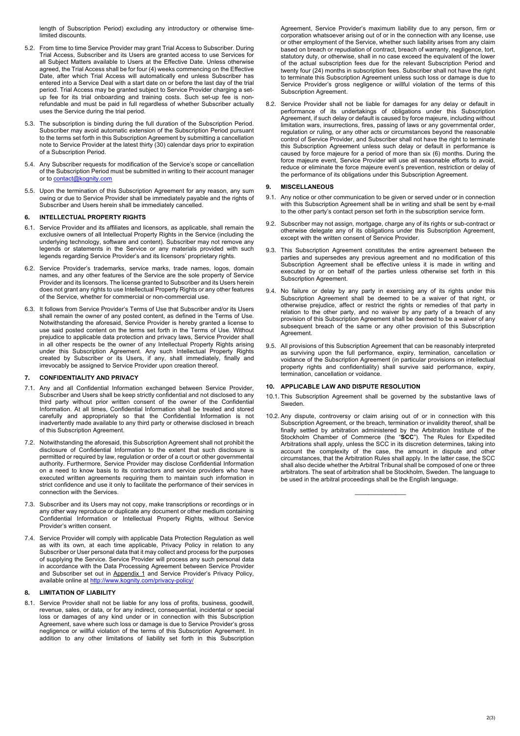length of Subscription Period) excluding any introductory or otherwise timelimited discounts.

- 5.2. From time to time Service Provider may grant Trial Access to Subscriber. During Trial Access, Subscriber and its Users are granted access to use Services for all Subject Matters available to Users at the Effective Date. Unless otherwise agreed, the Trial Access shall be for four (4) weeks commencing on the Effective Date, after which Trial Access will automatically end unless Subscriber has entered into a Service Deal with a start date on or before the last day of the trial period. Trial Access may be granted subject to Service Provider charging a setup fee for its trial onboarding and training costs. Such set-up fee is nonrefundable and must be paid in full regardless of whether Subscriber actually uses the Service during the trial period.
- 5.3. The subscription is binding during the full duration of the Subscription Period. Subscriber may avoid automatic extension of the Subscription Period pursuant to the terms set forth in this Subscription Agreement by submitting a cancellation note to Service Provider at the latest thirty (30) calendar days prior to expiration of a Subscription Period.
- 5.4. Any Subscriber requests for modification of the Service's scope or cancellation of the Subscription Period must be submitted in writing to their account manager or to contact@kognity.com
- 5.5. Upon the termination of this Subscription Agreement for any reason, any sum owing or due to Service Provider shall be immediately payable and the rights of Subscriber and Users herein shall be immediately cancelled.

### **6. INTELLECTUAL PROPERTY RIGHTS**

- 6.1. Service Provider and its affiliates and licensors, as applicable, shall remain the exclusive owners of all Intellectual Property Rights in the Service (including the underlying technology, software and content). Subscriber may not remove any legends or statements in the Service or any materials provided with such legends regarding Service Provider's and its licensors' proprietary rights.
- 6.2. Service Provider's trademarks, service marks, trade names, logos, domain names, and any other features of the Service are the sole property of Service Provider and its licensors. The license granted to Subscriber and its Users herein does not grant any rights to use Intellectual Property Rights or any other features of the Service, whether for commercial or non-commercial use.
- 6.3. It follows from Service Provider's Terms of Use that Subscriber and/or its Users shall remain the owner of any posted content, as defined in the Terms of Use. Notwithstanding the aforesaid, Service Provider is hereby granted a license to use said posted content on the terms set forth in the Terms of Use. Without prejudice to applicable data protection and privacy laws, Service Provider shall in all other respects be the owner of any Intellectual Property Rights arising under this Subscription Agreement. Any such Intellectual Property Rights created by Subscriber or its Users, if any, shall immediately, finally and irrevocably be assigned to Service Provider upon creation thereof.

## **7. CONFIDENTIALITY AND PRIVACY**

- 7.1. Any and all Confidential Information exchanged between Service Provider, Subscriber and Users shall be keep strictly confidential and not disclosed to any third party without prior written consent of the owner of the Confidential Information. At all times, Confidential Information shall be treated and stored carefully and appropriately so that the Confidential Information is not inadvertently made available to any third party or otherwise disclosed in breach of this Subscription Agreement.
- 7.2. Notwithstanding the aforesaid, this Subscription Agreement shall not prohibit the disclosure of Confidential Information to the extent that such disclosure is permitted or required by law, regulation or order of a court or other governmental authority. Furthermore, Service Provider may disclose Confidential Information on a need to know basis to its contractors and service providers who have executed written agreements requiring them to maintain such information in strict confidence and use it only to facilitate the performance of their services in connection with the Services.
- 7.3. Subscriber and its Users may not copy, make transcriptions or recordings or in any other way reproduce or duplicate any document or other medium containing Confidential Information or Intellectual Property Rights, without Service Provider's written consent.
- 7.4. Service Provider will comply with applicable Data Protection Regulation as well as with its own, at each time applicable, Privacy Policy in relation to any Subscriber or User personal data that it may collect and process for the purposes of supplying the Service. Service Provider will process any such personal data in accordance with the Data Processing Agreement between Service Provider and Subscriber set out in Appendix 1 and Service Provider's Privacy Policy, available online at http://www.kognity.com/privacy-policy/

#### **8. LIMITATION OF LIABILITY**

8.1. Service Provider shall not be liable for any loss of profits, business, goodwill, revenue, sales, or data, or for any indirect, consequential, incidental or special loss or damages of any kind under or in connection with this Subscription Agreement, save where such loss or damage is due to Service Provider's gross negligence or willful violation of the terms of this Subscription Agreement. In addition to any other limitations of liability set forth in this Subscription

Agreement, Service Provider's maximum liability due to any person, firm or corporation whatsoever arising out of or in the connection with any license, use or other employment of the Service, whether such liability arises from any claim based on breach or repudiation of contract, breach of warranty, negligence, tort, statutory duty, or otherwise, shall in no case exceed the equivalent of the lower of the actual subscription fees due for the relevant Subscription Period and twenty four (24) months in subscription fees. Subscriber shall not have the right to terminate this Subscription Agreement unless such loss or damage is due to Service Provider's gross negligence or willful violation of the terms of this Subscription Agreement.

8.2. Service Provider shall not be liable for damages for any delay or default in performance of its undertakings of obligations under this Subscription Agreement, if such delay or default is caused by force majeure, including without limitation wars, insurrections, fires, passing of laws or any governmental order, regulation or ruling, or any other acts or circumstances beyond the reasonable control of Service Provider, and Subscriber shall not have the right to terminate this Subscription Agreement unless such delay or default in performance is caused by force majeure for a period of more than six (6) months. During the force majeure event, Service Provider will use all reasonable efforts to avoid, reduce or eliminate the force majeure event's prevention, restriction or delay of the performance of its obligations under this Subscription Agreement.

# **9. MISCELLANEOUS**

- 9.1. Any notice or other communication to be given or served under or in connection with this Subscription Agreement shall be in writing and shall be sent by e-mail to the other party's contact person set forth in the subscription service form.
- 9.2. Subscriber may not assign, mortgage, charge any of its rights or sub-contract or otherwise delegate any of its obligations under this Subscription Agreement, except with the written consent of Service Provider.
- 9.3. This Subscription Agreement constitutes the entire agreement between the parties and supersedes any previous agreement and no modification of this Subscription Agreement shall be effective unless it is made in writing and executed by or on behalf of the parties unless otherwise set forth in this Subscription Agreement.
- 9.4. No failure or delay by any party in exercising any of its rights under this Subscription Agreement shall be deemed to be a waiver of that right, or otherwise prejudice, affect or restrict the rights or remedies of that party in relation to the other party, and no waiver by any party of a breach of any provision of this Subscription Agreement shall be deemed to be a waiver of any subsequent breach of the same or any other provision of this Subscription Agreement.
- 9.5. All provisions of this Subscription Agreement that can be reasonably interpreted as surviving upon the full performance, expiry, termination, cancellation or voidance of the Subscription Agreement (in particular provisions on intellectual property rights and confidentiality) shall survive said performance, expiry, termination, cancellation or voidance.

# **10. APPLICABLE LAW AND DISPUTE RESOLUTION**

- 10.1. This Subscription Agreement shall be governed by the substantive laws of Sweden.
- 10.2. Any dispute, controversy or claim arising out of or in connection with this Subscription Agreement, or the breach, termination or invalidity thereof, shall be finally settled by arbitration administered by the Arbitration Institute of the Stockholm Chamber of Commerce (the "**SCC**"). The Rules for Expedited Arbitrations shall apply, unless the SCC in its discretion determines, taking into account the complexity of the case, the amount in dispute and other circumstances, that the Arbitration Rules shall apply. In the latter case, the SCC shall also decide whether the Arbitral Tribunal shall be composed of one or three arbitrators. The seat of arbitration shall be Stockholm, Sweden. The language to be used in the arbitral proceedings shall be the English language.